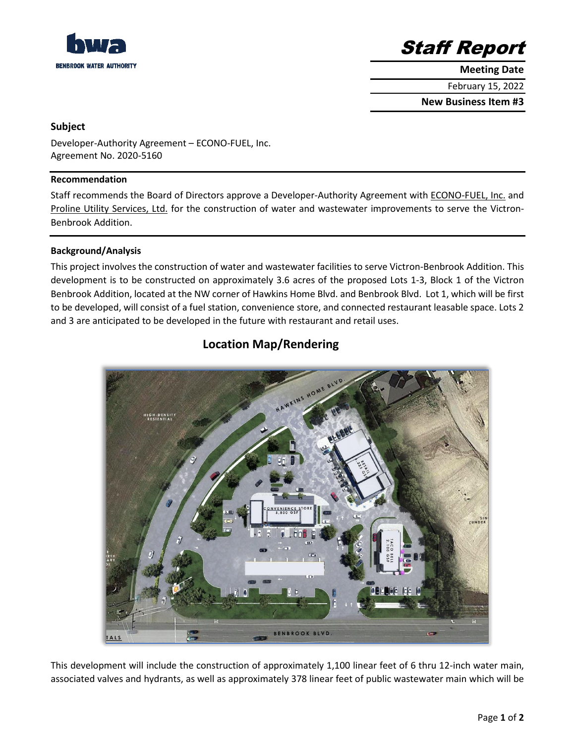

Staff Report

**Meeting Date**

February 15, 2022

**New Business Item #3**

## **Subject**

Developer-Authority Agreement – ECONO-FUEL, Inc. Agreement No. 2020-5160

#### **Recommendation**

Staff recommends the Board of Directors approve a Developer-Authority Agreement with ECONO-FUEL, Inc. and Proline Utility Services, Ltd. for the construction of water and wastewater improvements to serve the Victron-Benbrook Addition.

## **Background/Analysis**

This project involves the construction of water and wastewater facilities to serve Victron-Benbrook Addition. This development is to be constructed on approximately 3.6 acres of the proposed Lots 1-3, Block 1 of the Victron Benbrook Addition, located at the NW corner of Hawkins Home Blvd. and Benbrook Blvd. Lot 1, which will be first to be developed, will consist of a fuel station, convenience store, and connected restaurant leasable space. Lots 2 and 3 are anticipated to be developed in the future with restaurant and retail uses.

## **Location Map/Rendering**



This development will include the construction of approximately 1,100 linear feet of 6 thru 12-inch water main, associated valves and hydrants, as well as approximately 378 linear feet of public wastewater main which will be